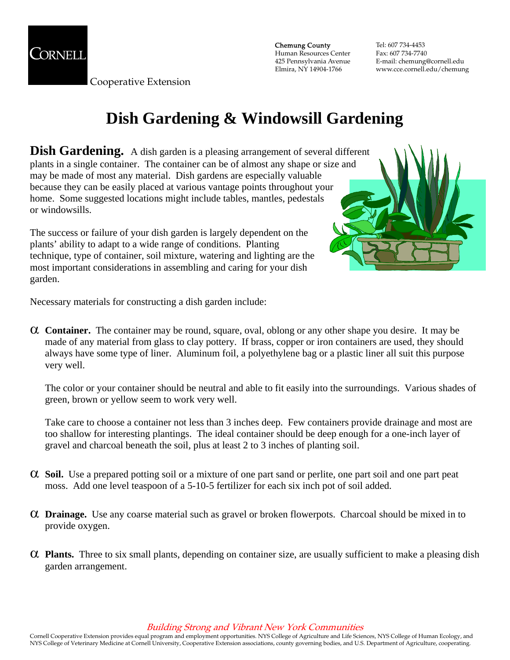

Cooperative Extension

Chemung County Human Resources Center 425 Pennsylvania Avenue Elmira, NY 14904-1766

Tel: 607 734-4453 Fax: 607 734-7740 E-mail: chemung@cornell.edu www.cce.cornell.edu/chemung

# **Dish Gardening & Windowsill Gardening**

**Dish Gardening.** A dish garden is a pleasing arrangement of several different plants in a single container. The container can be of almost any shape or size and may be made of most any material. Dish gardens are especially valuable because they can be easily placed at various vantage points throughout your home. Some suggested locations might include tables, mantles, pedestals or windowsills.

The success or failure of your dish garden is largely dependent on the plants' ability to adapt to a wide range of conditions. Planting technique, type of container, soil mixture, watering and lighting are the most important considerations in assembling and caring for your dish garden.



Necessary materials for constructing a dish garden include:

α **Container.** The container may be round, square, oval, oblong or any other shape you desire. It may be made of any material from glass to clay pottery. If brass, copper or iron containers are used, they should always have some type of liner. Aluminum foil, a polyethylene bag or a plastic liner all suit this purpose very well.

The color or your container should be neutral and able to fit easily into the surroundings. Various shades of green, brown or yellow seem to work very well.

Take care to choose a container not less than 3 inches deep. Few containers provide drainage and most are too shallow for interesting plantings. The ideal container should be deep enough for a one-inch layer of gravel and charcoal beneath the soil, plus at least 2 to 3 inches of planting soil.

- α **Soil.** Use a prepared potting soil or a mixture of one part sand or perlite, one part soil and one part peat moss. Add one level teaspoon of a 5-10-5 fertilizer for each six inch pot of soil added.
- α **Drainage.** Use any coarse material such as gravel or broken flowerpots. Charcoal should be mixed in to provide oxygen.
- α **Plants.** Three to six small plants, depending on container size, are usually sufficient to make a pleasing dish garden arrangement.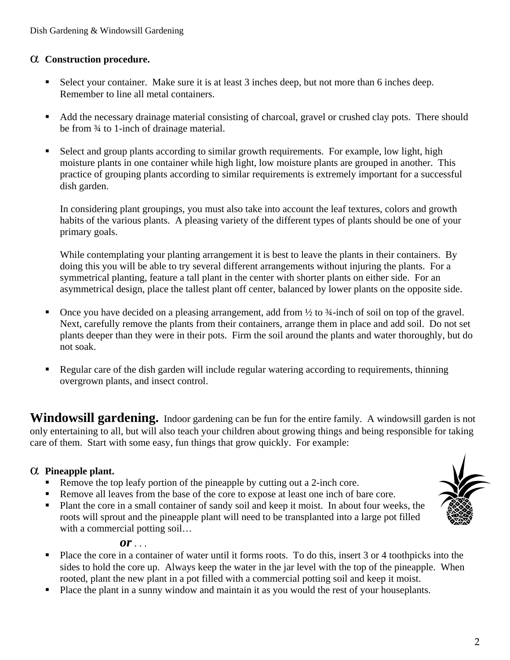#### α **Construction procedure.**

- Select your container. Make sure it is at least 3 inches deep, but not more than 6 inches deep. Remember to line all metal containers.
- Add the necessary drainage material consisting of charcoal, gravel or crushed clay pots. There should be from ¾ to 1-inch of drainage material.
- Select and group plants according to similar growth requirements. For example, low light, high moisture plants in one container while high light, low moisture plants are grouped in another. This practice of grouping plants according to similar requirements is extremely important for a successful dish garden.

In considering plant groupings, you must also take into account the leaf textures, colors and growth habits of the various plants. A pleasing variety of the different types of plants should be one of your primary goals.

While contemplating your planting arrangement it is best to leave the plants in their containers. By doing this you will be able to try several different arrangements without injuring the plants. For a symmetrical planting, feature a tall plant in the center with shorter plants on either side. For an asymmetrical design, place the tallest plant off center, balanced by lower plants on the opposite side.

- Once you have decided on a pleasing arrangement, add from  $\frac{1}{2}$  to  $\frac{3}{4}$ -inch of soil on top of the gravel. Next, carefully remove the plants from their containers, arrange them in place and add soil. Do not set plants deeper than they were in their pots. Firm the soil around the plants and water thoroughly, but do not soak.
- Regular care of the dish garden will include regular watering according to requirements, thinning overgrown plants, and insect control.

**Windowsill gardening.** Indoor gardening can be fun for the entire family. A windowsill garden is not only entertaining to all, but will also teach your children about growing things and being responsible for taking care of them. Start with some easy, fun things that grow quickly. For example:

#### α **Pineapple plant.**

- Remove the top leafy portion of the pineapple by cutting out a 2-inch core.
- Remove all leaves from the base of the core to expose at least one inch of bare core.
- **Plant the core in a small container of sandy soil and keep it moist. In about four weeks, the** roots will sprout and the pineapple plant will need to be transplanted into a large pot filled with a commercial potting soil...

#### *or* . . .

- Place the core in a container of water until it forms roots. To do this, insert 3 or 4 toothpicks into the sides to hold the core up. Always keep the water in the jar level with the top of the pineapple. When rooted, plant the new plant in a pot filled with a commercial potting soil and keep it moist.
- Place the plant in a sunny window and maintain it as you would the rest of your houseplants.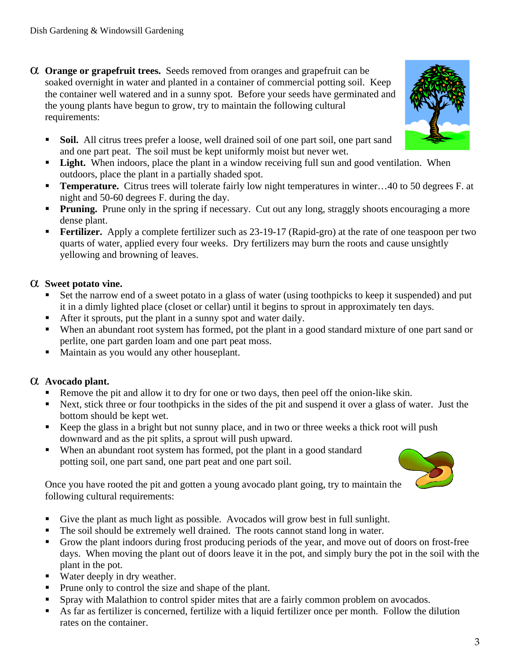- α **Orange or grapefruit trees.** Seeds removed from oranges and grapefruit can be soaked overnight in water and planted in a container of commercial potting soil. Keep the container well watered and in a sunny spot. Before your seeds have germinated and the young plants have begun to grow, try to maintain the following cultural requirements:
	- **Soil.** All citrus trees prefer a loose, well drained soil of one part soil, one part sand and one part peat. The soil must be kept uniformly moist but never wet.
	- **Light.** When indoors, place the plant in a window receiving full sun and good ventilation. When outdoors, place the plant in a partially shaded spot.
	- **Temperature.** Citrus trees will tolerate fairly low night temperatures in winter...40 to 50 degrees F. at night and 50-60 degrees F. during the day.
	- **Pruning.** Prune only in the spring if necessary. Cut out any long, straggly shoots encouraging a more dense plant.
	- **Fertilizer.** Apply a complete fertilizer such as 23-19-17 (Rapid-gro) at the rate of one teaspoon per two quarts of water, applied every four weeks. Dry fertilizers may burn the roots and cause unsightly yellowing and browning of leaves.

### α **Sweet potato vine.**

- Set the narrow end of a sweet potato in a glass of water (using toothpicks to keep it suspended) and put it in a dimly lighted place (closet or cellar) until it begins to sprout in approximately ten days.
- After it sprouts, put the plant in a sunny spot and water daily.
- When an abundant root system has formed, pot the plant in a good standard mixture of one part sand or perlite, one part garden loam and one part peat moss.
- **Maintain as you would any other houseplant.**

## α **Avocado plant.**

- Remove the pit and allow it to dry for one or two days, then peel off the onion-like skin.
- Next, stick three or four toothpicks in the sides of the pit and suspend it over a glass of water. Just the bottom should be kept wet.
- Keep the glass in a bright but not sunny place, and in two or three weeks a thick root will push downward and as the pit splits, a sprout will push upward.
- When an abundant root system has formed, pot the plant in a good standard potting soil, one part sand, one part peat and one part soil.

Once you have rooted the pit and gotten a young avocado plant going, try to maintain the following cultural requirements:

- Give the plant as much light as possible. Avocados will grow best in full sunlight.
- The soil should be extremely well drained. The roots cannot stand long in water.
- Grow the plant indoors during frost producing periods of the year, and move out of doors on frost-free days. When moving the plant out of doors leave it in the pot, and simply bury the pot in the soil with the plant in the pot.
- Water deeply in dry weather.
- Prune only to control the size and shape of the plant.
- Spray with Malathion to control spider mites that are a fairly common problem on avocados.
- As far as fertilizer is concerned, fertilize with a liquid fertilizer once per month. Follow the dilution rates on the container.